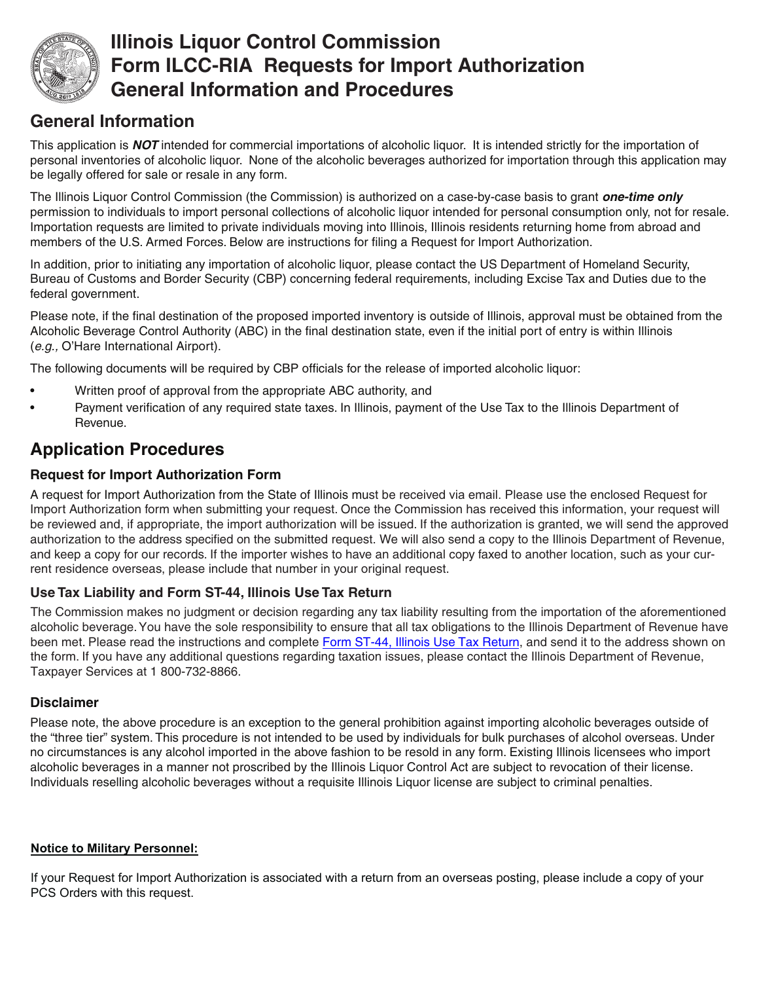

## **Illinois Liquor Control Commission Form ILCC-RIA Requests for Import Authorization General Information and Procedures**

### **General Information**

This application is *NOT* intended for commercial importations of alcoholic liquor. It is intended strictly for the importation of personal inventories of alcoholic liquor. None of the alcoholic beverages authorized for importation through this application may be legally offered for sale or resale in any form.

The Illinois Liquor Control Commission (the Commission) is authorized on a case-by-case basis to grant *one-time only* permission to individuals to import personal collections of alcoholic liquor intended for personal consumption only, not for resale. Importation requests are limited to private individuals moving into Illinois, Illinois residents returning home from abroad and members of the U.S. Armed Forces. Below are instructions for filing a Request for Import Authorization.

In addition, prior to initiating any importation of alcoholic liquor, please contact the US Department of Homeland Security, Bureau of Customs and Border Security (CBP) concerning federal requirements, including Excise Tax and Duties due to the federal government.

Please note, if the final destination of the proposed imported inventory is outside of Illinois, approval must be obtained from the Alcoholic Beverage Control Authority (ABC) in the final destination state, even if the initial port of entry is within Illinois (*e.g.,* O'Hare International Airport).

The following documents will be required by CBP officials for the release of imported alcoholic liquor:

- Written proof of approval from the appropriate ABC authority, and
- Payment verification of any required state taxes. In Illinois, payment of the Use Tax to the Illinois Department of Revenue.

## **Application Procedures**

#### **Request for Import Authorization Form**

A request for Import Authorization from the State of Illinois must be received via email. Please use the enclosed Request for Import Authorization form when submitting your request. Once the Commission has received this information, your request will be reviewed and, if appropriate, the import authorization will be issued. If the authorization is granted, we will send the approved authorization to the address specified on the submitted request. We will also send a copy to the Illinois Department of Revenue, and keep a copy for our records. If the importer wishes to have an additional copy faxed to another location, such as your current residence overseas, please include that number in your original request.

#### **Use Tax Liability and Form ST-44, Illinois Use Tax Return**

The Commission makes no judgment or decision regarding any tax liability resulting from the importation of the aforementioned alcoholic beverage. You have the sole responsibility to ensure that all tax obligations to the Illinois Department of Revenue have been met. Please read the instructions and complet[e Form ST-44, Illinois Use Tax Return,](http://tax.illinois.gov/TaxForms/Sales/ST-44.pdf) and send it to the address shown on the form. If you have any additional questions regarding taxation issues, please contact the Illinois Department of Revenue, Taxpayer Services at 1 800-732-8866.

#### **Disclaimer**

Please note, the above procedure is an exception to the general prohibition against importing alcoholic beverages outside of the "three tier" system. This procedure is not intended to be used by individuals for bulk purchases of alcohol overseas. Under no circumstances is any alcohol imported in the above fashion to be resold in any form. Existing Illinois licensees who import alcoholic beverages in a manner not proscribed by the Illinois Liquor Control Act are subject to revocation of their license. Individuals reselling alcoholic beverages without a requisite Illinois Liquor license are subject to criminal penalties.

#### **Notice to Military Personnel:**

If your Request for Import Authorization is associated with a return from an overseas posting, please include a copy of your PCS Orders with this request.